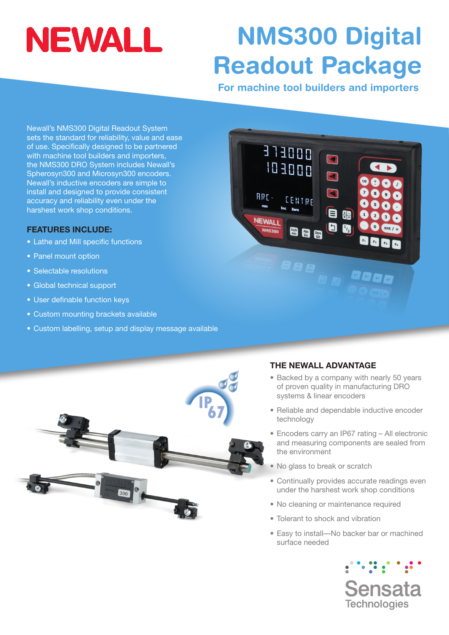# **NEWALL**

## **NMS300 Digital Readout Package**

**For machine tool builders and importers**

Newall's NMS300 Digital Readout System sets the standard for reliability, value and ease of use. Specifically designed to be partnered with machine tool builders and importers, the NMS300 DRO System includes Newall's Spherosyn300 and Microsyn300 encoders. Newall's inductive encoders are simple to install and designed to provide consistent accuracy and reliability even under the harshest work shop conditions.

#### **FEATURES INCLUDE:**

- Lathe and Mill specific functions
- Panel mount option
- Selectable resolutions
- Global technical support
- User definable function keys
- Custom mounting brackets available
- Custom labelling, setup and display message available





### **THE NEWALL ADVANTAGE**

- Backed by a company with nearly 50 years of proven quality in manufacturing DRO systems & linear encoders
- Reliable and dependable inductive encoder technology
- Encoders carry an IP67 rating All electronic and measuring components are sealed from the environment
- No glass to break or scratch
- Continually provides accurate readings even under the harshest work shop conditions
- No cleaning or maintenance required
- Tolerant to shock and vibration
- Easy to install—No backer bar or machined surface needed